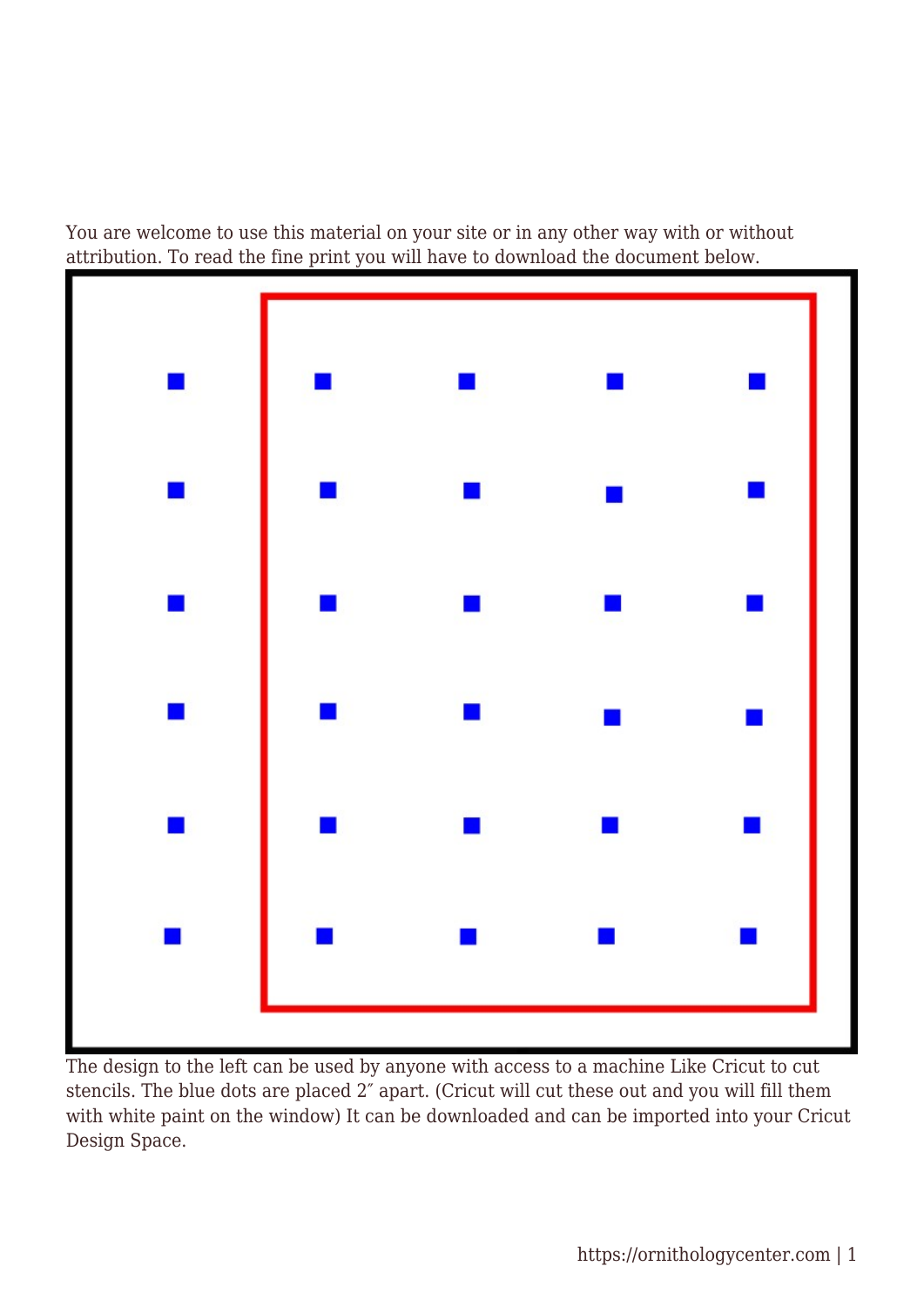You are welcome to use this material on your site or in any other way with or without attribution. To read the fine print you will have to download the document below.



The design to the left can be used by anyone with access to a machine Like Cricut to cut stencils. The blue dots are placed 2″ apart. (Cricut will cut these out and you will fill them with white paint on the window) It can be downloaded and can be imported into your Cricut Design Space.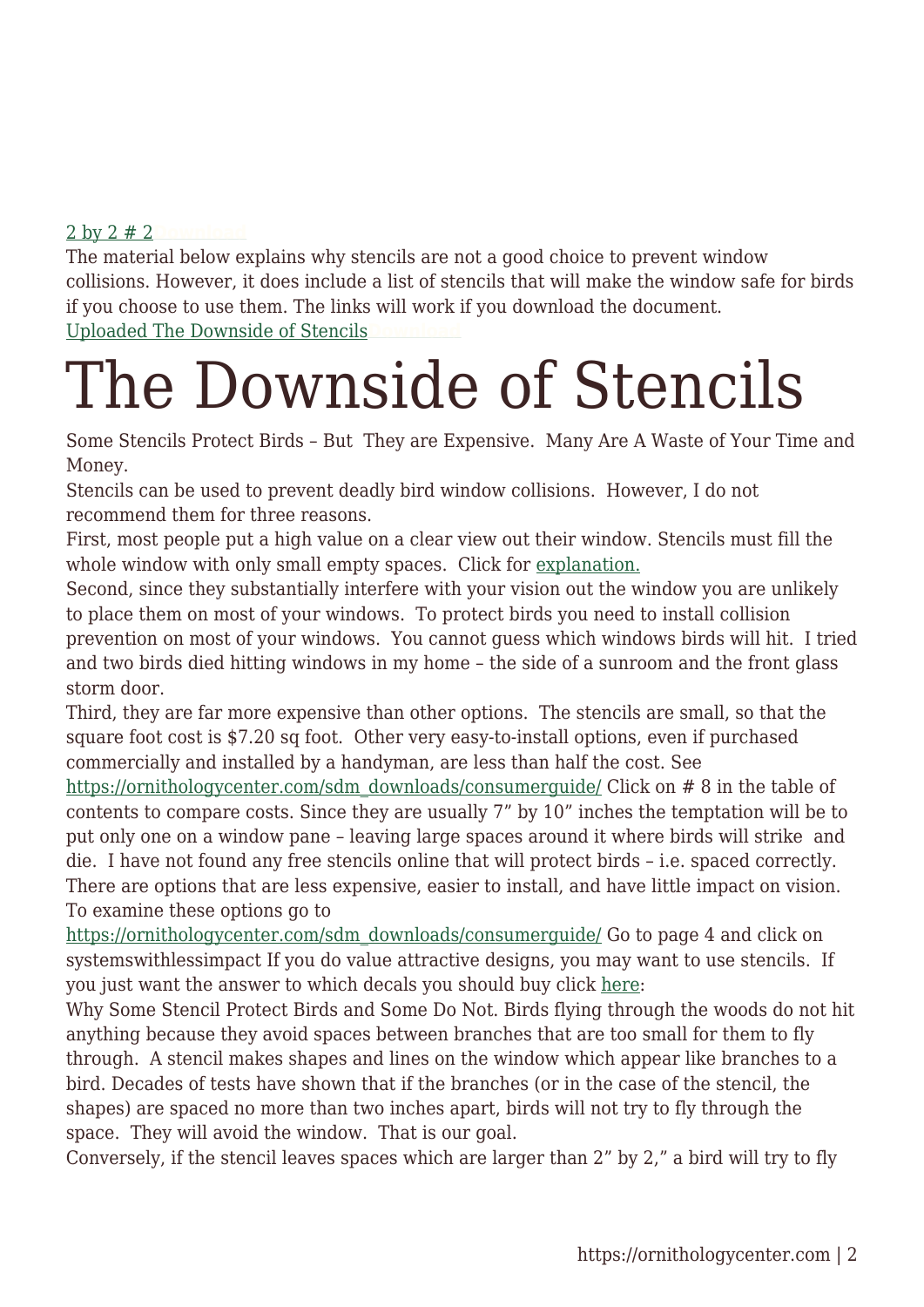## [2 by 2 # 2](https://ornithologycenter.com/wp-content/uploads/2021/12/2-by-2-2.jpg)**[Download](https://ornithologycenter.com/wp-content/uploads/2021/12/2-by-2-2.jpg)**

The material below explains why stencils are not a good choice to prevent window collisions. However, it does include a list of stencils that will make the window safe for birds if you choose to use them. The links will work if you download the document. [Uploaded The Downside of Stencils](https://ornithologycenter.com/wp-content/uploads/2021/12/Uploaded-The-Downside-of-Stencils.docx)

## The Downside of Stencils

Some Stencils Protect Birds – But They are Expensive. Many Are A Waste of Your Time and Money.

Stencils can be used to prevent deadly bird window collisions. However, I do not recommend them for three reasons.

First, most people put a high value on a clear view out their window. Stencils must fill the whole window with only small empty spaces. Click for [explanation.](#page--1-0)

Second, since they substantially interfere with your vision out the window you are unlikely to place them on most of your windows. To protect birds you need to install collision prevention on most of your windows. You cannot guess which windows birds will hit. I tried and two birds died hitting windows in my home – the side of a sunroom and the front glass storm door.

Third, they are far more expensive than other options. The stencils are small, so that the square foot cost is \$7.20 sq foot. Other very easy-to-install options, even if purchased commercially and installed by a handyman, are less than half the cost. See

[https://ornithologycenter.com/sdm\\_downloads/consumerguide/](https://ornithologycenter.com/sdm_downloads/consumerguide/) Click on # 8 in the table of contents to compare costs. Since they are usually 7" by 10" inches the temptation will be to put only one on a window pane – leaving large spaces around it where birds will strike and die. I have not found any free stencils online that will protect birds – i.e. spaced correctly. There are options that are less expensive, easier to install, and have little impact on vision. To examine these options go to

[https://ornithologycenter.com/sdm\\_downloads/consumerguide/](https://ornithologycenter.com/sdm_downloads/consumerguide/) Go to page 4 and click on systemswithlessimpact If you do value attractive designs, you may want to use stencils. If you just want the answer to which decals you should buy click [here](#page--1-0):

Why Some Stencil Protect Birds and Some Do Not. Birds flying through the woods do not hit anything because they avoid spaces between branches that are too small for them to fly through. A stencil makes shapes and lines on the window which appear like branches to a bird. Decades of tests have shown that if the branches (or in the case of the stencil, the shapes) are spaced no more than two inches apart, birds will not try to fly through the space. They will avoid the window. That is our goal.

Conversely, if the stencil leaves spaces which are larger than 2" by 2," a bird will try to fly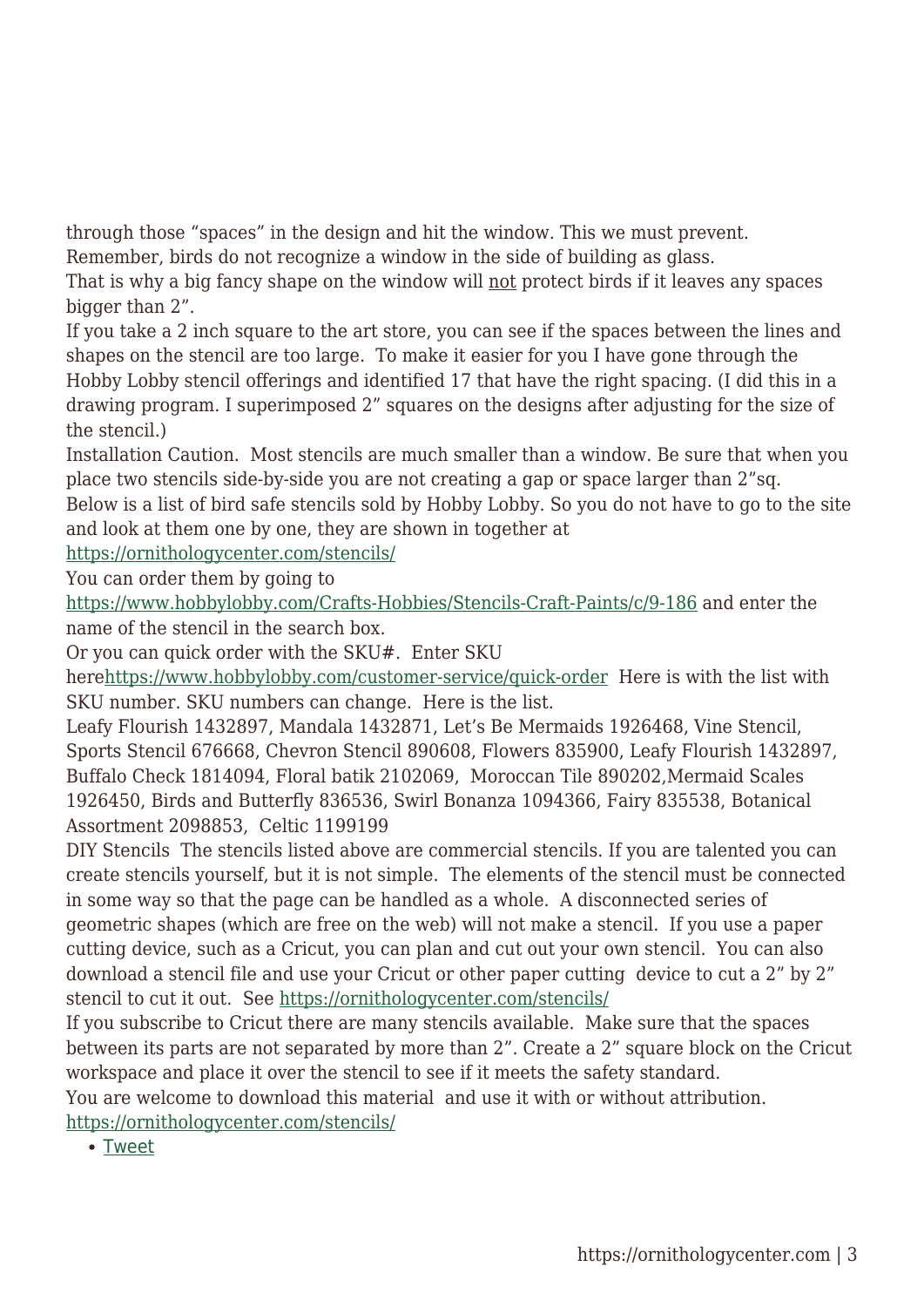through those "spaces" in the design and hit the window. This we must prevent.

Remember, birds do not recognize a window in the side of building as glass.

That is why a big fancy shape on the window will not protect birds if it leaves any spaces bigger than 2".

If you take a 2 inch square to the art store, you can see if the spaces between the lines and shapes on the stencil are too large. To make it easier for you I have gone through the Hobby Lobby stencil offerings and identified 17 that have the right spacing. (I did this in a drawing program. I superimposed 2" squares on the designs after adjusting for the size of the stencil.)

Installation Caution. Most stencils are much smaller than a window. Be sure that when you place two stencils side-by-side you are not creating a gap or space larger than 2"sq.

Below is a list of bird safe stencils sold by Hobby Lobby. So you do not have to go to the site and look at them one by one, they are shown in together at

<https://ornithologycenter.com/stencils/>

You can order them by going to

<https://www.hobbylobby.com/Crafts-Hobbies/Stencils-Craft-Paints/c/9-186> and enter the name of the stencil in the search box.

Or you can quick order with the SKU#. Enter SKU

her[ehttps://www.hobbylobby.com/customer-service/quick-order](https://www.hobbylobby.com/customer-service/quick-order) Here is with the list with SKU number. SKU numbers can change. Here is the list.

Leafy Flourish 1432897, Mandala 1432871, Let's Be Mermaids 1926468, Vine Stencil, Sports Stencil 676668, Chevron Stencil 890608, Flowers 835900, Leafy Flourish 1432897, Buffalo Check 1814094, Floral batik 2102069, Moroccan Tile 890202,Mermaid Scales 1926450, Birds and Butterfly 836536, Swirl Bonanza 1094366, Fairy 835538, Botanical Assortment 2098853, Celtic 1199199

DIY Stencils The stencils listed above are commercial stencils. If you are talented you can create stencils yourself, but it is not simple. The elements of the stencil must be connected in some way so that the page can be handled as a whole. A disconnected series of geometric shapes (which are free on the web) will not make a stencil. If you use a paper cutting device, such as a Cricut, you can plan and cut out your own stencil. You can also download a stencil file and use your Cricut or other paper cutting device to cut a 2" by 2" stencil to cut it out. See<https://ornithologycenter.com/stencils/>

If you subscribe to Cricut there are many stencils available. Make sure that the spaces between its parts are not separated by more than 2". Create a 2" square block on the Cricut workspace and place it over the stencil to see if it meets the safety standard.

You are welcome to download this material and use it with or without attribution.

<https://ornithologycenter.com/stencils/>

• [Tweet](https://twitter.com/share)